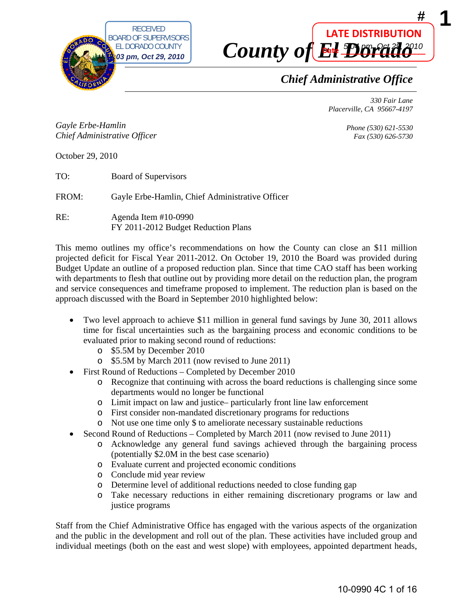



# *Chief Administrative Office*

*330 Fair Lane Placerville, CA 95667-4197* 

*Gayle Erbe-Hamlin Chief Administrative Officer*

*Phone (530) 621-5530 Fax (530) 626-5730* 

October 29, 2010

TO: Board of Supervisors

FROM: Gayle Erbe-Hamlin, Chief Administrative Officer

RE: Agenda Item #10-0990 FY 2011-2012 Budget Reduction Plans

This memo outlines my office's recommendations on how the County can close an \$11 million projected deficit for Fiscal Year 2011-2012. On October 19, 2010 the Board was provided during Budget Update an outline of a proposed reduction plan. Since that time CAO staff has been working with departments to flesh that outline out by providing more detail on the reduction plan, the program and service consequences and timeframe proposed to implement. The reduction plan is based on the approach discussed with the Board in September 2010 highlighted below:

- Two level approach to achieve \$11 million in general fund savings by June 30, 2011 allows time for fiscal uncertainties such as the bargaining process and economic conditions to be evaluated prior to making second round of reductions:
	- o \$5.5M by December 2010
	- o \$5.5M by March 2011 (now revised to June 2011)
- First Round of Reductions Completed by December 2010
	- o Recognize that continuing with across the board reductions is challenging since some departments would no longer be functional
	- o Limit impact on law and justice– particularly front line law enforcement
	- o First consider non-mandated discretionary programs for reductions
	- o Not use one time only \$ to ameliorate necessary sustainable reductions
- Second Round of Reductions Completed by March 2011 (now revised to June 2011)
	- o Acknowledge any general fund savings achieved through the bargaining process (potentially \$2.0M in the best case scenario)
	- o Evaluate current and projected economic conditions
	- o Conclude mid year review
	- o Determine level of additional reductions needed to close funding gap
	- o Take necessary reductions in either remaining discretionary programs or law and justice programs

Staff from the Chief Administrative Office has engaged with the various aspects of the organization and the public in the development and roll out of the plan. These activities have included group and individual meetings (both on the east and west slope) with employees, appointed department heads,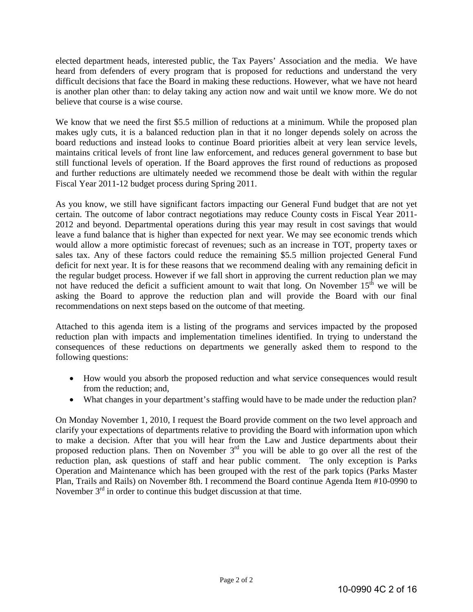elected department heads, interested public, the Tax Payers' Association and the media. We have heard from defenders of every program that is proposed for reductions and understand the very difficult decisions that face the Board in making these reductions. However, what we have not heard is another plan other than: to delay taking any action now and wait until we know more. We do not believe that course is a wise course.

We know that we need the first \$5.5 million of reductions at a minimum. While the proposed plan makes ugly cuts, it is a balanced reduction plan in that it no longer depends solely on across the board reductions and instead looks to continue Board priorities albeit at very lean service levels, maintains critical levels of front line law enforcement, and reduces general government to base but still functional levels of operation. If the Board approves the first round of reductions as proposed and further reductions are ultimately needed we recommend those be dealt with within the regular Fiscal Year 2011-12 budget process during Spring 2011.

As you know, we still have significant factors impacting our General Fund budget that are not yet certain. The outcome of labor contract negotiations may reduce County costs in Fiscal Year 2011- 2012 and beyond. Departmental operations during this year may result in cost savings that would leave a fund balance that is higher than expected for next year. We may see economic trends which would allow a more optimistic forecast of revenues; such as an increase in TOT, property taxes or sales tax. Any of these factors could reduce the remaining \$5.5 million projected General Fund deficit for next year. It is for these reasons that we recommend dealing with any remaining deficit in the regular budget process. However if we fall short in approving the current reduction plan we may not have reduced the deficit a sufficient amount to wait that long. On November  $15<sup>th</sup>$  we will be asking the Board to approve the reduction plan and will provide the Board with our final recommendations on next steps based on the outcome of that meeting.

Attached to this agenda item is a listing of the programs and services impacted by the proposed reduction plan with impacts and implementation timelines identified. In trying to understand the consequences of these reductions on departments we generally asked them to respond to the following questions:

- How would you absorb the proposed reduction and what service consequences would result from the reduction; and,
- What changes in your department's staffing would have to be made under the reduction plan?

On Monday November 1, 2010, I request the Board provide comment on the two level approach and clarify your expectations of departments relative to providing the Board with information upon which to make a decision. After that you will hear from the Law and Justice departments about their proposed reduction plans. Then on November  $3<sup>rd</sup>$  you will be able to go over all the rest of the reduction plan, ask questions of staff and hear public comment. The only exception is Parks Operation and Maintenance which has been grouped with the rest of the park topics (Parks Master Plan, Trails and Rails) on November 8th. I recommend the Board continue Agenda Item #10-0990 to November  $3<sup>rd</sup>$  in order to continue this budget discussion at that time.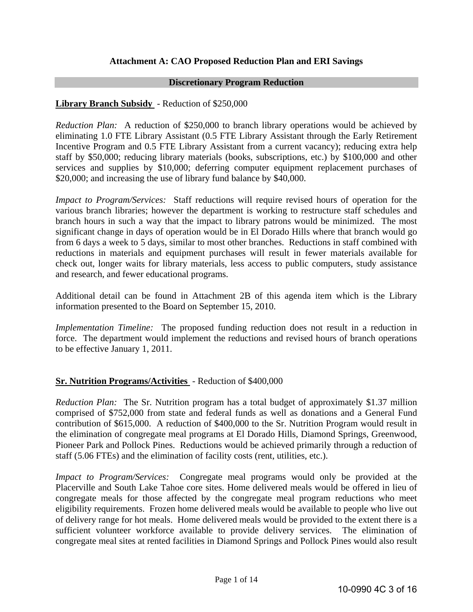# **Attachment A: CAO Proposed Reduction Plan and ERI Savings**

#### **Discretionary Program Reduction**

#### **Library Branch Subsidy** - Reduction of \$250,000

*Reduction Plan:* A reduction of \$250,000 to branch library operations would be achieved by eliminating 1.0 FTE Library Assistant (0.5 FTE Library Assistant through the Early Retirement Incentive Program and 0.5 FTE Library Assistant from a current vacancy); reducing extra help staff by \$50,000; reducing library materials (books, subscriptions, etc.) by \$100,000 and other services and supplies by \$10,000; deferring computer equipment replacement purchases of \$20,000; and increasing the use of library fund balance by \$40,000.

*Impact to Program/Services:* Staff reductions will require revised hours of operation for the various branch libraries; however the department is working to restructure staff schedules and branch hours in such a way that the impact to library patrons would be minimized. The most significant change in days of operation would be in El Dorado Hills where that branch would go from 6 days a week to 5 days, similar to most other branches. Reductions in staff combined with reductions in materials and equipment purchases will result in fewer materials available for check out, longer waits for library materials, less access to public computers, study assistance and research, and fewer educational programs.

Additional detail can be found in Attachment 2B of this agenda item which is the Library information presented to the Board on September 15, 2010.

*Implementation Timeline:* The proposed funding reduction does not result in a reduction in force. The department would implement the reductions and revised hours of branch operations to be effective January 1, 2011.

#### **Sr. Nutrition Programs/Activities** - Reduction of \$400,000

*Reduction Plan:* The Sr. Nutrition program has a total budget of approximately \$1.37 million comprised of \$752,000 from state and federal funds as well as donations and a General Fund contribution of \$615,000. A reduction of \$400,000 to the Sr. Nutrition Program would result in the elimination of congregate meal programs at El Dorado Hills, Diamond Springs, Greenwood, Pioneer Park and Pollock Pines. Reductions would be achieved primarily through a reduction of staff (5.06 FTEs) and the elimination of facility costs (rent, utilities, etc.).

*Impact to Program/Services:* Congregate meal programs would only be provided at the Placerville and South Lake Tahoe core sites. Home delivered meals would be offered in lieu of congregate meals for those affected by the congregate meal program reductions who meet eligibility requirements. Frozen home delivered meals would be available to people who live out of delivery range for hot meals. Home delivered meals would be provided to the extent there is a sufficient volunteer workforce available to provide delivery services. The elimination of congregate meal sites at rented facilities in Diamond Springs and Pollock Pines would also result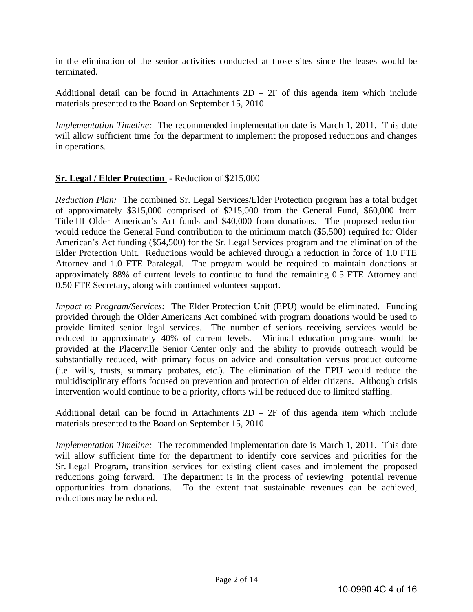in the elimination of the senior activities conducted at those sites since the leases would be terminated.

Additional detail can be found in Attachments  $2D - 2F$  of this agenda item which include materials presented to the Board on September 15, 2010.

*Implementation Timeline:* The recommended implementation date is March 1, 2011. This date will allow sufficient time for the department to implement the proposed reductions and changes in operations.

### **Sr. Legal / Elder Protection** - Reduction of \$215,000

*Reduction Plan:* The combined Sr. Legal Services/Elder Protection program has a total budget of approximately \$315,000 comprised of \$215,000 from the General Fund, \$60,000 from Title III Older American's Act funds and \$40,000 from donations. The proposed reduction would reduce the General Fund contribution to the minimum match (\$5,500) required for Older American's Act funding (\$54,500) for the Sr. Legal Services program and the elimination of the Elder Protection Unit. Reductions would be achieved through a reduction in force of 1.0 FTE Attorney and 1.0 FTE Paralegal. The program would be required to maintain donations at approximately 88% of current levels to continue to fund the remaining 0.5 FTE Attorney and 0.50 FTE Secretary, along with continued volunteer support.

*Impact to Program/Services:* The Elder Protection Unit (EPU) would be eliminated. Funding provided through the Older Americans Act combined with program donations would be used to provide limited senior legal services. The number of seniors receiving services would be reduced to approximately 40% of current levels. Minimal education programs would be provided at the Placerville Senior Center only and the ability to provide outreach would be substantially reduced, with primary focus on advice and consultation versus product outcome (i.e. wills, trusts, summary probates, etc.). The elimination of the EPU would reduce the multidisciplinary efforts focused on prevention and protection of elder citizens. Although crisis intervention would continue to be a priority, efforts will be reduced due to limited staffing.

Additional detail can be found in Attachments  $2D - 2F$  of this agenda item which include materials presented to the Board on September 15, 2010.

*Implementation Timeline:* The recommended implementation date is March 1, 2011. This date will allow sufficient time for the department to identify core services and priorities for the Sr. Legal Program, transition services for existing client cases and implement the proposed reductions going forward. The department is in the process of reviewing potential revenue opportunities from donations. To the extent that sustainable revenues can be achieved, reductions may be reduced.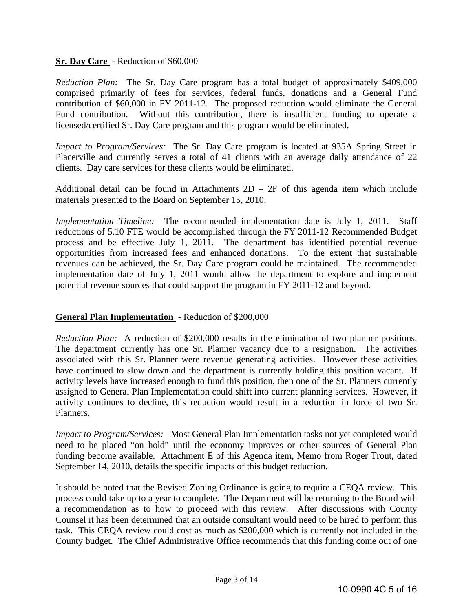## **Sr. Day Care** - Reduction of \$60,000

*Reduction Plan:* The Sr. Day Care program has a total budget of approximately \$409,000 comprised primarily of fees for services, federal funds, donations and a General Fund contribution of \$60,000 in FY 2011-12. The proposed reduction would eliminate the General Fund contribution. Without this contribution, there is insufficient funding to operate a licensed/certified Sr. Day Care program and this program would be eliminated.

*Impact to Program/Services:* The Sr. Day Care program is located at 935A Spring Street in Placerville and currently serves a total of 41 clients with an average daily attendance of 22 clients. Day care services for these clients would be eliminated.

Additional detail can be found in Attachments  $2D - 2F$  of this agenda item which include materials presented to the Board on September 15, 2010.

*Implementation Timeline:* The recommended implementation date is July 1, 2011. Staff reductions of 5.10 FTE would be accomplished through the FY 2011-12 Recommended Budget process and be effective July 1, 2011. The department has identified potential revenue opportunities from increased fees and enhanced donations. To the extent that sustainable revenues can be achieved, the Sr. Day Care program could be maintained. The recommended implementation date of July 1, 2011 would allow the department to explore and implement potential revenue sources that could support the program in FY 2011-12 and beyond.

#### **General Plan Implementation** - Reduction of \$200,000

*Reduction Plan:* A reduction of \$200,000 results in the elimination of two planner positions. The department currently has one Sr. Planner vacancy due to a resignation. The activities associated with this Sr. Planner were revenue generating activities. However these activities have continued to slow down and the department is currently holding this position vacant. If activity levels have increased enough to fund this position, then one of the Sr. Planners currently assigned to General Plan Implementation could shift into current planning services. However, if activity continues to decline, this reduction would result in a reduction in force of two Sr. Planners.

*Impact to Program/Services:* Most General Plan Implementation tasks not yet completed would need to be placed "on hold" until the economy improves or other sources of General Plan funding become available. Attachment E of this Agenda item, Memo from Roger Trout, dated September 14, 2010, details the specific impacts of this budget reduction.

It should be noted that the Revised Zoning Ordinance is going to require a CEQA review. This process could take up to a year to complete. The Department will be returning to the Board with a recommendation as to how to proceed with this review. After discussions with County Counsel it has been determined that an outside consultant would need to be hired to perform this task. This CEQA review could cost as much as \$200,000 which is currently not included in the County budget. The Chief Administrative Office recommends that this funding come out of one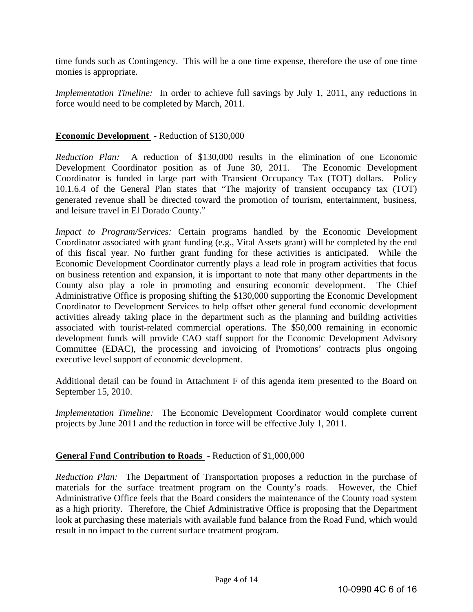time funds such as Contingency. This will be a one time expense, therefore the use of one time monies is appropriate.

*Implementation Timeline:* In order to achieve full savings by July 1, 2011, any reductions in force would need to be completed by March, 2011.

#### **Economic Development** - Reduction of \$130,000

*Reduction Plan:* A reduction of \$130,000 results in the elimination of one Economic Development Coordinator position as of June 30, 2011. The Economic Development Coordinator is funded in large part with Transient Occupancy Tax (TOT) dollars. Policy 10.1.6.4 of the General Plan states that "The majority of transient occupancy tax (TOT) generated revenue shall be directed toward the promotion of tourism, entertainment, business, and leisure travel in El Dorado County."

*Impact to Program/Services:* Certain programs handled by the Economic Development Coordinator associated with grant funding (e.g., Vital Assets grant) will be completed by the end of this fiscal year. No further grant funding for these activities is anticipated. While the Economic Development Coordinator currently plays a lead role in program activities that focus on business retention and expansion, it is important to note that many other departments in the County also play a role in promoting and ensuring economic development. The Chief Administrative Office is proposing shifting the \$130,000 supporting the Economic Development Coordinator to Development Services to help offset other general fund economic development activities already taking place in the department such as the planning and building activities associated with tourist-related commercial operations. The \$50,000 remaining in economic development funds will provide CAO staff support for the Economic Development Advisory Committee (EDAC), the processing and invoicing of Promotions' contracts plus ongoing executive level support of economic development.

Additional detail can be found in Attachment F of this agenda item presented to the Board on September 15, 2010.

*Implementation Timeline:* The Economic Development Coordinator would complete current projects by June 2011 and the reduction in force will be effective July 1, 2011.

#### **General Fund Contribution to Roads** - Reduction of \$1,000,000

*Reduction Plan:* The Department of Transportation proposes a reduction in the purchase of materials for the surface treatment program on the County's roads. However, the Chief Administrative Office feels that the Board considers the maintenance of the County road system as a high priority. Therefore, the Chief Administrative Office is proposing that the Department look at purchasing these materials with available fund balance from the Road Fund, which would result in no impact to the current surface treatment program.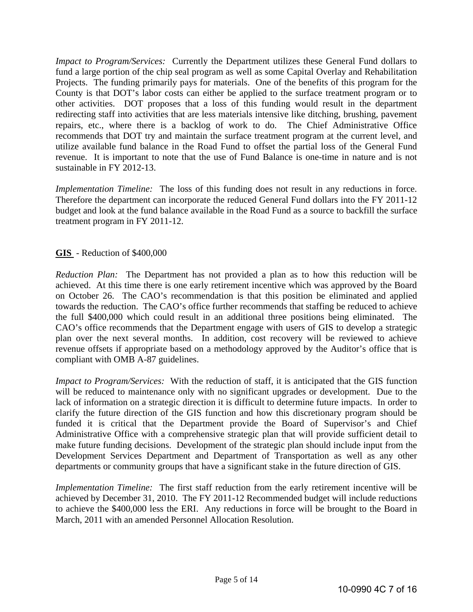*Impact to Program/Services:* Currently the Department utilizes these General Fund dollars to fund a large portion of the chip seal program as well as some Capital Overlay and Rehabilitation Projects. The funding primarily pays for materials. One of the benefits of this program for the County is that DOT's labor costs can either be applied to the surface treatment program or to other activities. DOT proposes that a loss of this funding would result in the department redirecting staff into activities that are less materials intensive like ditching, brushing, pavement repairs, etc., where there is a backlog of work to do. The Chief Administrative Office recommends that DOT try and maintain the surface treatment program at the current level, and utilize available fund balance in the Road Fund to offset the partial loss of the General Fund revenue. It is important to note that the use of Fund Balance is one-time in nature and is not sustainable in FY 2012-13.

*Implementation Timeline:* The loss of this funding does not result in any reductions in force. Therefore the department can incorporate the reduced General Fund dollars into the FY 2011-12 budget and look at the fund balance available in the Road Fund as a source to backfill the surface treatment program in FY 2011-12.

### **GIS** - Reduction of \$400,000

*Reduction Plan:* The Department has not provided a plan as to how this reduction will be achieved. At this time there is one early retirement incentive which was approved by the Board on October 26. The CAO's recommendation is that this position be eliminated and applied towards the reduction. The CAO's office further recommends that staffing be reduced to achieve the full \$400,000 which could result in an additional three positions being eliminated. The CAO's office recommends that the Department engage with users of GIS to develop a strategic plan over the next several months. In addition, cost recovery will be reviewed to achieve revenue offsets if appropriate based on a methodology approved by the Auditor's office that is compliant with OMB A-87 guidelines.

*Impact to Program/Services:* With the reduction of staff, it is anticipated that the GIS function will be reduced to maintenance only with no significant upgrades or development. Due to the lack of information on a strategic direction it is difficult to determine future impacts. In order to clarify the future direction of the GIS function and how this discretionary program should be funded it is critical that the Department provide the Board of Supervisor's and Chief Administrative Office with a comprehensive strategic plan that will provide sufficient detail to make future funding decisions. Development of the strategic plan should include input from the Development Services Department and Department of Transportation as well as any other departments or community groups that have a significant stake in the future direction of GIS.

*Implementation Timeline:* The first staff reduction from the early retirement incentive will be achieved by December 31, 2010. The FY 2011-12 Recommended budget will include reductions to achieve the \$400,000 less the ERI. Any reductions in force will be brought to the Board in March, 2011 with an amended Personnel Allocation Resolution.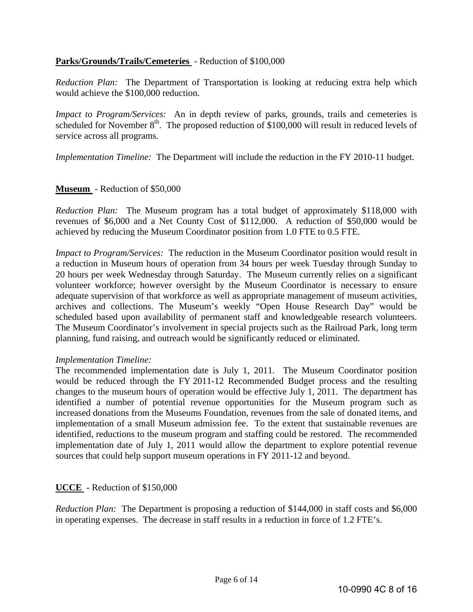# **Parks/Grounds/Trails/Cemeteries** - Reduction of \$100,000

*Reduction Plan:* The Department of Transportation is looking at reducing extra help which would achieve the \$100,000 reduction.

*Impact to Program/Services:* An in depth review of parks, grounds, trails and cemeteries is scheduled for November  $8<sup>th</sup>$ . The proposed reduction of \$100,000 will result in reduced levels of service across all programs.

*Implementation Timeline:* The Department will include the reduction in the FY 2010-11 budget.

# **Museum** - Reduction of \$50,000

*Reduction Plan:* The Museum program has a total budget of approximately \$118,000 with revenues of \$6,000 and a Net County Cost of \$112,000. A reduction of \$50,000 would be achieved by reducing the Museum Coordinator position from 1.0 FTE to 0.5 FTE.

*Impact to Program/Services:* The reduction in the Museum Coordinator position would result in a reduction in Museum hours of operation from 34 hours per week Tuesday through Sunday to 20 hours per week Wednesday through Saturday. The Museum currently relies on a significant volunteer workforce; however oversight by the Museum Coordinator is necessary to ensure adequate supervision of that workforce as well as appropriate management of museum activities, archives and collections. The Museum's weekly "Open House Research Day" would be scheduled based upon availability of permanent staff and knowledgeable research volunteers. The Museum Coordinator's involvement in special projects such as the Railroad Park, long term planning, fund raising, and outreach would be significantly reduced or eliminated.

#### *Implementation Timeline:*

The recommended implementation date is July 1, 2011. The Museum Coordinator position would be reduced through the FY 2011-12 Recommended Budget process and the resulting changes to the museum hours of operation would be effective July 1, 2011. The department has identified a number of potential revenue opportunities for the Museum program such as increased donations from the Museums Foundation, revenues from the sale of donated items, and implementation of a small Museum admission fee. To the extent that sustainable revenues are identified, reductions to the museum program and staffing could be restored. The recommended implementation date of July 1, 2011 would allow the department to explore potential revenue sources that could help support museum operations in FY 2011-12 and beyond.

#### **UCCE** - Reduction of \$150,000

*Reduction Plan:* The Department is proposing a reduction of \$144,000 in staff costs and \$6,000 in operating expenses. The decrease in staff results in a reduction in force of 1.2 FTE's.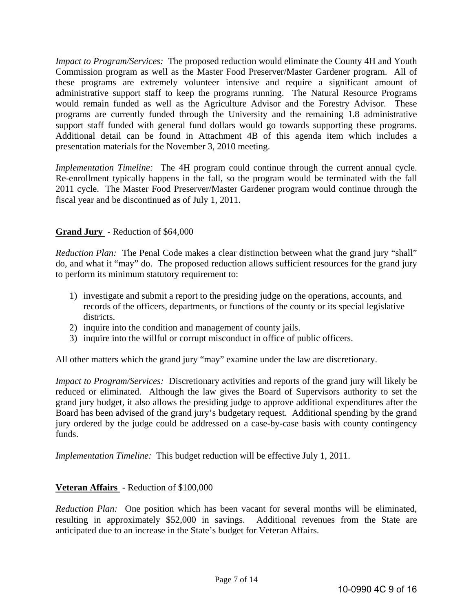*Impact to Program/Services:* The proposed reduction would eliminate the County 4H and Youth Commission program as well as the Master Food Preserver/Master Gardener program. All of these programs are extremely volunteer intensive and require a significant amount of administrative support staff to keep the programs running. The Natural Resource Programs would remain funded as well as the Agriculture Advisor and the Forestry Advisor. These programs are currently funded through the University and the remaining 1.8 administrative support staff funded with general fund dollars would go towards supporting these programs. Additional detail can be found in Attachment 4B of this agenda item which includes a presentation materials for the November 3, 2010 meeting.

*Implementation Timeline:* The 4H program could continue through the current annual cycle. Re-enrollment typically happens in the fall, so the program would be terminated with the fall 2011 cycle. The Master Food Preserver/Master Gardener program would continue through the fiscal year and be discontinued as of July 1, 2011.

# **Grand Jury** - Reduction of \$64,000

*Reduction Plan:* The Penal Code makes a clear distinction between what the grand jury "shall" do, and what it "may" do. The proposed reduction allows sufficient resources for the grand jury to perform its minimum statutory requirement to:

- 1) investigate and submit a report to the presiding judge on the operations, accounts, and records of the officers, departments, or functions of the county or its special legislative districts.
- 2) inquire into the condition and management of county jails.
- 3) inquire into the willful or corrupt misconduct in office of public officers.

All other matters which the grand jury "may" examine under the law are discretionary.

*Impact to Program/Services:* Discretionary activities and reports of the grand jury will likely be reduced or eliminated. Although the law gives the Board of Supervisors authority to set the grand jury budget, it also allows the presiding judge to approve additional expenditures after the Board has been advised of the grand jury's budgetary request. Additional spending by the grand jury ordered by the judge could be addressed on a case-by-case basis with county contingency funds.

*Implementation Timeline:* This budget reduction will be effective July 1, 2011.

# **Veteran Affairs** - Reduction of \$100,000

*Reduction Plan:* One position which has been vacant for several months will be eliminated, resulting in approximately \$52,000 in savings. Additional revenues from the State are anticipated due to an increase in the State's budget for Veteran Affairs.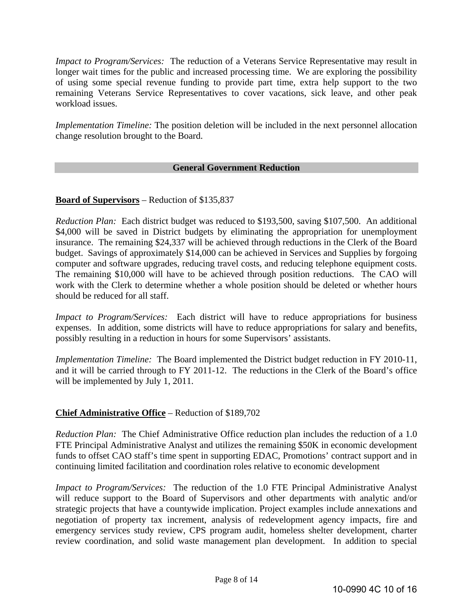*Impact to Program/Services:* The reduction of a Veterans Service Representative may result in longer wait times for the public and increased processing time. We are exploring the possibility of using some special revenue funding to provide part time, extra help support to the two remaining Veterans Service Representatives to cover vacations, sick leave, and other peak workload issues.

*Implementation Timeline:* The position deletion will be included in the next personnel allocation change resolution brought to the Board.

### **General Government Reduction**

# **Board of Supervisors** – Reduction of \$135,837

*Reduction Plan:* Each district budget was reduced to \$193,500, saving \$107,500. An additional \$4,000 will be saved in District budgets by eliminating the appropriation for unemployment insurance. The remaining \$24,337 will be achieved through reductions in the Clerk of the Board budget. Savings of approximately \$14,000 can be achieved in Services and Supplies by forgoing computer and software upgrades, reducing travel costs, and reducing telephone equipment costs. The remaining \$10,000 will have to be achieved through position reductions. The CAO will work with the Clerk to determine whether a whole position should be deleted or whether hours should be reduced for all staff.

*Impact to Program/Services:* Each district will have to reduce appropriations for business expenses. In addition, some districts will have to reduce appropriations for salary and benefits, possibly resulting in a reduction in hours for some Supervisors' assistants.

*Implementation Timeline:* The Board implemented the District budget reduction in FY 2010-11, and it will be carried through to FY 2011-12. The reductions in the Clerk of the Board's office will be implemented by July 1, 2011.

# **Chief Administrative Office** – Reduction of \$189,702

*Reduction Plan:* The Chief Administrative Office reduction plan includes the reduction of a 1.0 FTE Principal Administrative Analyst and utilizes the remaining \$50K in economic development funds to offset CAO staff's time spent in supporting EDAC, Promotions' contract support and in continuing limited facilitation and coordination roles relative to economic development

*Impact to Program/Services:* The reduction of the 1.0 FTE Principal Administrative Analyst will reduce support to the Board of Supervisors and other departments with analytic and/or strategic projects that have a countywide implication. Project examples include annexations and negotiation of property tax increment, analysis of redevelopment agency impacts, fire and emergency services study review, CPS program audit, homeless shelter development, charter review coordination, and solid waste management plan development. In addition to special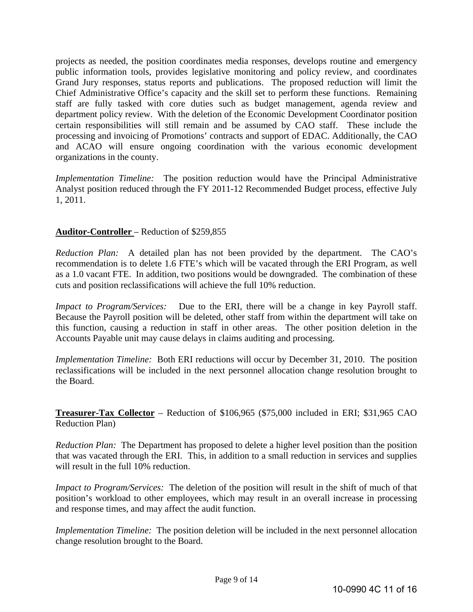projects as needed, the position coordinates media responses, develops routine and emergency public information tools, provides legislative monitoring and policy review, and coordinates Grand Jury responses, status reports and publications. The proposed reduction will limit the Chief Administrative Office's capacity and the skill set to perform these functions. Remaining staff are fully tasked with core duties such as budget management, agenda review and department policy review. With the deletion of the Economic Development Coordinator position certain responsibilities will still remain and be assumed by CAO staff. These include the processing and invoicing of Promotions' contracts and support of EDAC. Additionally, the CAO and ACAO will ensure ongoing coordination with the various economic development organizations in the county.

*Implementation Timeline:* The position reduction would have the Principal Administrative Analyst position reduced through the FY 2011-12 Recommended Budget process, effective July 1, 2011.

# **Auditor-Controller** – Reduction of \$259,855

*Reduction Plan:* A detailed plan has not been provided by the department. The CAO's recommendation is to delete 1.6 FTE's which will be vacated through the ERI Program, as well as a 1.0 vacant FTE. In addition, two positions would be downgraded. The combination of these cuts and position reclassifications will achieve the full 10% reduction.

*Impact to Program/Services:* Due to the ERI, there will be a change in key Payroll staff. Because the Payroll position will be deleted, other staff from within the department will take on this function, causing a reduction in staff in other areas. The other position deletion in the Accounts Payable unit may cause delays in claims auditing and processing.

*Implementation Timeline:* Both ERI reductions will occur by December 31, 2010. The position reclassifications will be included in the next personnel allocation change resolution brought to the Board.

**Treasurer-Tax Collector** – Reduction of \$106,965 (\$75,000 included in ERI; \$31,965 CAO Reduction Plan)

*Reduction Plan:* The Department has proposed to delete a higher level position than the position that was vacated through the ERI. This, in addition to a small reduction in services and supplies will result in the full 10% reduction.

*Impact to Program/Services:* The deletion of the position will result in the shift of much of that position's workload to other employees, which may result in an overall increase in processing and response times, and may affect the audit function.

*Implementation Timeline:* The position deletion will be included in the next personnel allocation change resolution brought to the Board.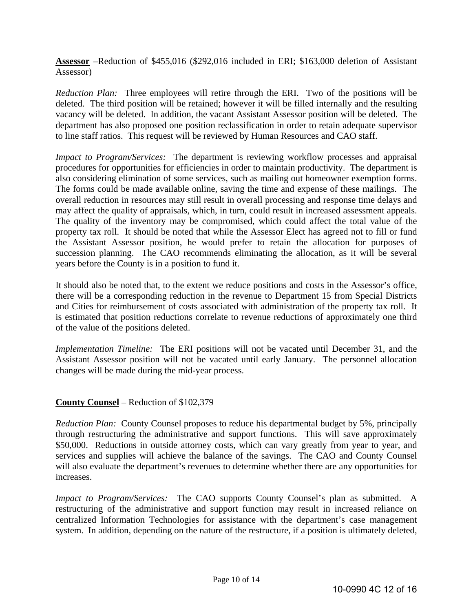**Assessor** –Reduction of \$455,016 (\$292,016 included in ERI; \$163,000 deletion of Assistant Assessor)

*Reduction Plan:* Three employees will retire through the ERI. Two of the positions will be deleted. The third position will be retained; however it will be filled internally and the resulting vacancy will be deleted. In addition, the vacant Assistant Assessor position will be deleted. The department has also proposed one position reclassification in order to retain adequate supervisor to line staff ratios. This request will be reviewed by Human Resources and CAO staff.

*Impact to Program/Services:* The department is reviewing workflow processes and appraisal procedures for opportunities for efficiencies in order to maintain productivity. The department is also considering elimination of some services, such as mailing out homeowner exemption forms. The forms could be made available online, saving the time and expense of these mailings. The overall reduction in resources may still result in overall processing and response time delays and may affect the quality of appraisals, which, in turn, could result in increased assessment appeals. The quality of the inventory may be compromised, which could affect the total value of the property tax roll. It should be noted that while the Assessor Elect has agreed not to fill or fund the Assistant Assessor position, he would prefer to retain the allocation for purposes of succession planning. The CAO recommends eliminating the allocation, as it will be several years before the County is in a position to fund it.

It should also be noted that, to the extent we reduce positions and costs in the Assessor's office, there will be a corresponding reduction in the revenue to Department 15 from Special Districts and Cities for reimbursement of costs associated with administration of the property tax roll. It is estimated that position reductions correlate to revenue reductions of approximately one third of the value of the positions deleted.

*Implementation Timeline:* The ERI positions will not be vacated until December 31, and the Assistant Assessor position will not be vacated until early January. The personnel allocation changes will be made during the mid-year process.

#### **County Counsel** – Reduction of \$102,379

*Reduction Plan:* County Counsel proposes to reduce his departmental budget by 5%, principally through restructuring the administrative and support functions. This will save approximately \$50,000. Reductions in outside attorney costs, which can vary greatly from year to year, and services and supplies will achieve the balance of the savings. The CAO and County Counsel will also evaluate the department's revenues to determine whether there are any opportunities for increases.

*Impact to Program/Services:* The CAO supports County Counsel's plan as submitted. A restructuring of the administrative and support function may result in increased reliance on centralized Information Technologies for assistance with the department's case management system. In addition, depending on the nature of the restructure, if a position is ultimately deleted,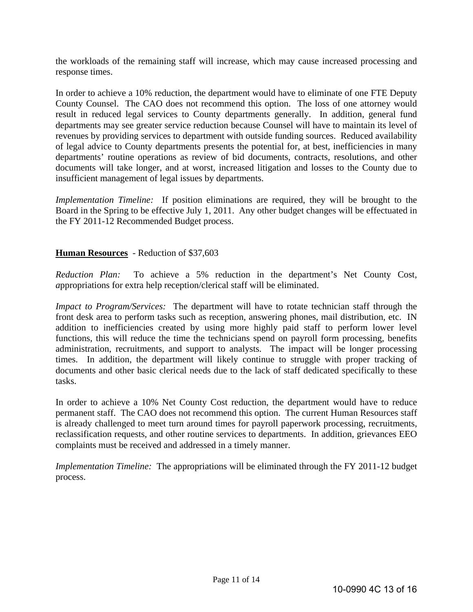the workloads of the remaining staff will increase, which may cause increased processing and response times.

In order to achieve a 10% reduction, the department would have to eliminate of one FTE Deputy County Counsel. The CAO does not recommend this option. The loss of one attorney would result in reduced legal services to County departments generally. In addition, general fund departments may see greater service reduction because Counsel will have to maintain its level of revenues by providing services to department with outside funding sources. Reduced availability of legal advice to County departments presents the potential for, at best, inefficiencies in many departments' routine operations as review of bid documents, contracts, resolutions, and other documents will take longer, and at worst, increased litigation and losses to the County due to insufficient management of legal issues by departments.

*Implementation Timeline:* If position eliminations are required, they will be brought to the Board in the Spring to be effective July 1, 2011. Any other budget changes will be effectuated in the FY 2011-12 Recommended Budget process.

### **Human Resources** - Reduction of \$37,603

*Reduction Plan:* To achieve a 5% reduction in the department's Net County Cost*, a*ppropriations for extra help reception/clerical staff will be eliminated.

*Impact to Program/Services:* The department will have to rotate technician staff through the front desk area to perform tasks such as reception, answering phones, mail distribution, etc. IN addition to inefficiencies created by using more highly paid staff to perform lower level functions, this will reduce the time the technicians spend on payroll form processing, benefits administration, recruitments, and support to analysts. The impact will be longer processing times. In addition, the department will likely continue to struggle with proper tracking of documents and other basic clerical needs due to the lack of staff dedicated specifically to these tasks.

In order to achieve a 10% Net County Cost reduction, the department would have to reduce permanent staff. The CAO does not recommend this option. The current Human Resources staff is already challenged to meet turn around times for payroll paperwork processing, recruitments, reclassification requests, and other routine services to departments. In addition, grievances EEO complaints must be received and addressed in a timely manner.

*Implementation Timeline:* The appropriations will be eliminated through the FY 2011-12 budget process.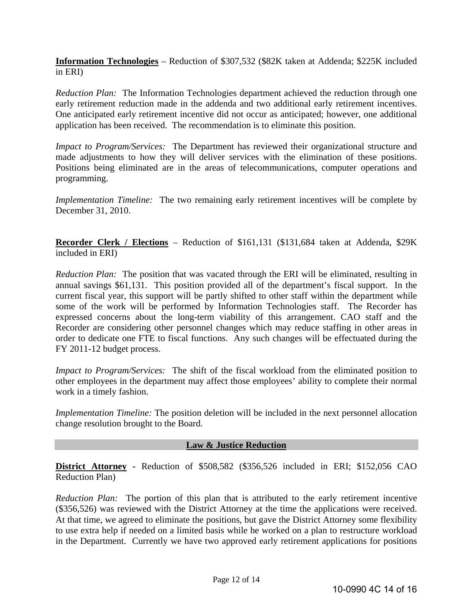**Information Technologies** – Reduction of \$307,532 (\$82K taken at Addenda; \$225K included in ERI)

*Reduction Plan:* The Information Technologies department achieved the reduction through one early retirement reduction made in the addenda and two additional early retirement incentives. One anticipated early retirement incentive did not occur as anticipated; however, one additional application has been received. The recommendation is to eliminate this position.

*Impact to Program/Services:* The Department has reviewed their organizational structure and made adjustments to how they will deliver services with the elimination of these positions. Positions being eliminated are in the areas of telecommunications, computer operations and programming.

*Implementation Timeline:* The two remaining early retirement incentives will be complete by December 31, 2010.

**Recorder Clerk / Elections** – Reduction of \$161,131 (\$131,684 taken at Addenda, \$29K included in ERI)

*Reduction Plan:* The position that was vacated through the ERI will be eliminated, resulting in annual savings \$61,131. This position provided all of the department's fiscal support. In the current fiscal year, this support will be partly shifted to other staff within the department while some of the work will be performed by Information Technologies staff. The Recorder has expressed concerns about the long-term viability of this arrangement. CAO staff and the Recorder are considering other personnel changes which may reduce staffing in other areas in order to dedicate one FTE to fiscal functions. Any such changes will be effectuated during the FY 2011-12 budget process.

*Impact to Program/Services:* The shift of the fiscal workload from the eliminated position to other employees in the department may affect those employees' ability to complete their normal work in a timely fashion.

*Implementation Timeline:* The position deletion will be included in the next personnel allocation change resolution brought to the Board.

#### **Law & Justice Reduction**

**District Attorney -** Reduction of \$508,582 (\$356,526 included in ERI; \$152,056 CAO Reduction Plan)

*Reduction Plan:* The portion of this plan that is attributed to the early retirement incentive (\$356,526) was reviewed with the District Attorney at the time the applications were received. At that time, we agreed to eliminate the positions, but gave the District Attorney some flexibility to use extra help if needed on a limited basis while he worked on a plan to restructure workload in the Department. Currently we have two approved early retirement applications for positions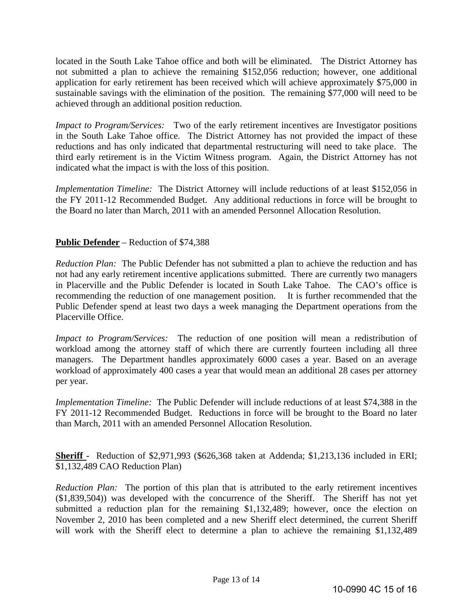located in the South Lake Tahoe office and both will be eliminated. The District Attorney has not submitted a plan to achieve the remaining \$152,056 reduction; however, one additional application for early retirement has been received which will achieve approximately \$75,000 in sustainable savings with the elimination of the position. The remaining \$77,000 will need to be achieved through an additional position reduction.

*Impact to Program/Services:* Two of the early retirement incentives are Investigator positions in the South Lake Tahoe office. The District Attorney has not provided the impact of these reductions and has only indicated that departmental restructuring will need to take place. The third early retirement is in the Victim Witness program. Again, the District Attorney has not indicated what the impact is with the loss of this position.

*Implementation Timeline:* The District Attorney will include reductions of at least \$152,056 in the FY 2011-12 Recommended Budget. Any additional reductions in force will be brought to the Board no later than March, 2011 with an amended Personnel Allocation Resolution.

# **Public Defender** – Reduction of \$74,388

*Reduction Plan:* The Public Defender has not submitted a plan to achieve the reduction and has not had any early retirement incentive applications submitted. There are currently two managers in Placerville and the Public Defender is located in South Lake Tahoe. The CAO's office is recommending the reduction of one management position. It is further recommended that the Public Defender spend at least two days a week managing the Department operations from the Placerville Office.

*Impact to Program/Services:* The reduction of one position will mean a redistribution of workload among the attorney staff of which there are currently fourteen including all three managers. The Department handles approximately 6000 cases a year. Based on an average workload of approximately 400 cases a year that would mean an additional 28 cases per attorney per year.

*Implementation Timeline:* The Public Defender will include reductions of at least \$74,388 in the FY 2011-12 Recommended Budget. Reductions in force will be brought to the Board no later than March, 2011 with an amended Personnel Allocation Resolution.

**Sheriff -** Reduction of \$2,971,993 (\$626,368 taken at Addenda; \$1,213,136 included in ERI; \$1,132,489 CAO Reduction Plan)

*Reduction Plan:* The portion of this plan that is attributed to the early retirement incentives (\$1,839,504)) was developed with the concurrence of the Sheriff. The Sheriff has not yet submitted a reduction plan for the remaining \$1,132,489; however, once the election on November 2, 2010 has been completed and a new Sheriff elect determined, the current Sheriff will work with the Sheriff elect to determine a plan to achieve the remaining \$1,132,489